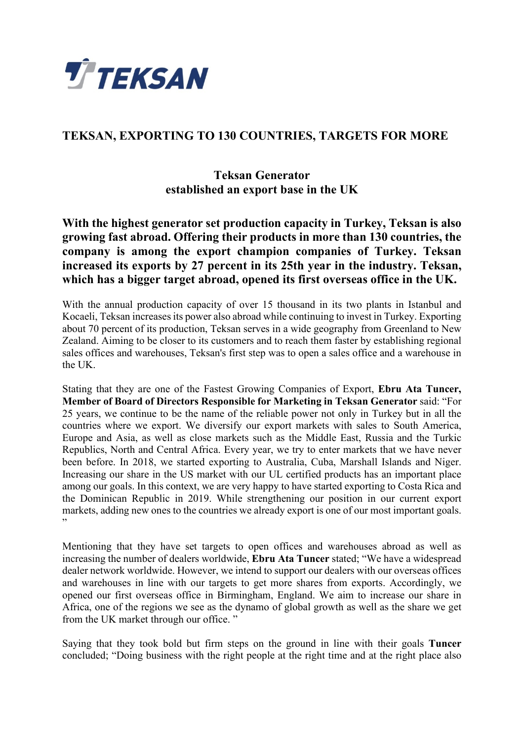

## **TEKSAN, EXPORTING TO 130 COUNTRIES, TARGETS FOR MORE**

## **Teksan Generator established an export base in the UK**

**With the highest generator set production capacity in Turkey, Teksan is also growing fast abroad. Offering their products in more than 130 countries, the company is among the export champion companies of Turkey. Teksan increased its exports by 27 percent in its 25th year in the industry. Teksan, which has a bigger target abroad, opened its first overseas office in the UK.** 

With the annual production capacity of over 15 thousand in its two plants in Istanbul and Kocaeli, Teksan increases its power also abroad while continuing to invest in Turkey. Exporting about 70 percent of its production, Teksan serves in a wide geography from Greenland to New Zealand. Aiming to be closer to its customers and to reach them faster by establishing regional sales offices and warehouses, Teksan's first step was to open a sales office and a warehouse in the UK.

Stating that they are one of the Fastest Growing Companies of Export, **Ebru Ata Tuncer, Member of Board of Directors Responsible for Marketing in Teksan Generator** said: "For 25 years, we continue to be the name of the reliable power not only in Turkey but in all the countries where we export. We diversify our export markets with sales to South America, Europe and Asia, as well as close markets such as the Middle East, Russia and the Turkic Republics, North and Central Africa. Every year, we try to enter markets that we have never been before. In 2018, we started exporting to Australia, Cuba, Marshall Islands and Niger. Increasing our share in the US market with our UL certified products has an important place among our goals. In this context, we are very happy to have started exporting to Costa Rica and the Dominican Republic in 2019. While strengthening our position in our current export markets, adding new ones to the countries we already export is one of our most important goals. ,,

Mentioning that they have set targets to open offices and warehouses abroad as well as increasing the number of dealers worldwide, **Ebru Ata Tuncer** stated; "We have a widespread dealer network worldwide. However, we intend to support our dealers with our overseas offices and warehouses in line with our targets to get more shares from exports. Accordingly, we opened our first overseas office in Birmingham, England. We aim to increase our share in Africa, one of the regions we see as the dynamo of global growth as well as the share we get from the UK market through our office. "

Saying that they took bold but firm steps on the ground in line with their goals **Tuncer**  concluded; "Doing business with the right people at the right time and at the right place also